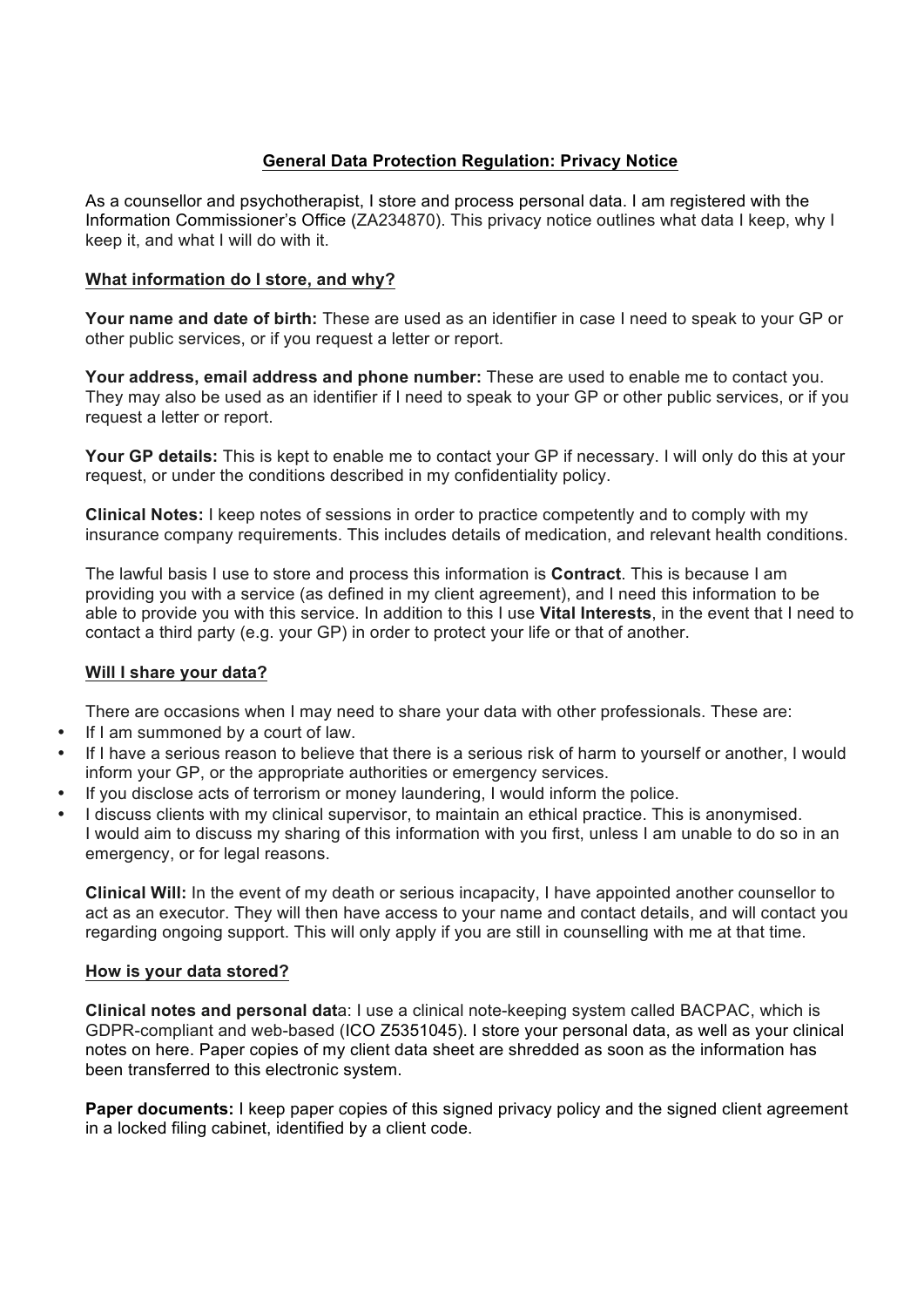# **General Data Protection Regulation: Privacy Notice**

As a counsellor and psychotherapist, I store and process personal data. I am registered with the Information Commissioner's Office (ZA234870). This privacy notice outlines what data I keep, why I keep it, and what I will do with it.

### **What information do I store, and why?**

**Your name and date of birth:** These are used as an identifier in case I need to speak to your GP or other public services, or if you request a letter or report.

**Your address, email address and phone number:** These are used to enable me to contact you. They may also be used as an identifier if I need to speak to your GP or other public services, or if you request a letter or report.

**Your GP details:** This is kept to enable me to contact your GP if necessary. I will only do this at your request, or under the conditions described in my confidentiality policy.

**Clinical Notes:** I keep notes of sessions in order to practice competently and to comply with my insurance company requirements. This includes details of medication, and relevant health conditions.

The lawful basis I use to store and process this information is **Contract**. This is because I am providing you with a service (as defined in my client agreement), and I need this information to be able to provide you with this service. In addition to this I use **Vital Interests**, in the event that I need to contact a third party (e.g. your GP) in order to protect your life or that of another.

## **Will I share your data?**

There are occasions when I may need to share your data with other professionals. These are:

- If I am summoned by a court of law.
- If I have a serious reason to believe that there is a serious risk of harm to yourself or another, I would inform your GP, or the appropriate authorities or emergency services.
- If you disclose acts of terrorism or money laundering, I would inform the police.
- I discuss clients with my clinical supervisor, to maintain an ethical practice. This is anonymised. I would aim to discuss my sharing of this information with you first, unless I am unable to do so in an emergency, or for legal reasons.

**Clinical Will:** In the event of my death or serious incapacity, I have appointed another counsellor to act as an executor. They will then have access to your name and contact details, and will contact you regarding ongoing support. This will only apply if you are still in counselling with me at that time.

#### **How is your data stored?**

**Clinical notes and personal dat**a: I use a clinical note-keeping system called BACPAC, which is GDPR-compliant and web-based (ICO Z5351045). I store your personal data, as well as your clinical notes on here. Paper copies of my client data sheet are shredded as soon as the information has been transferred to this electronic system.

**Paper documents:** I keep paper copies of this signed privacy policy and the signed client agreement in a locked filing cabinet, identified by a client code.